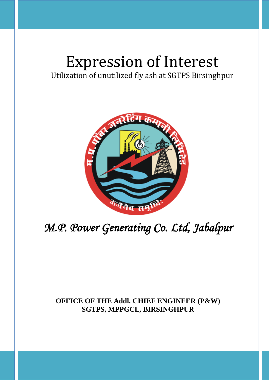# Expression of Interest

Utilization of unutilized fly ash at SGTPS Birsinghpur



# *M.P. Power Generating Co. Ltd, Jabalpur*

**OFFICE OF THE Addl. CHIEF ENGINEER (P&W) SGTPS, MPPGCL, BIRSINGHPUR**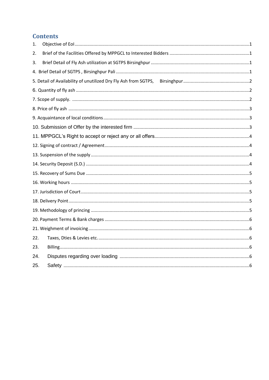# **Contents**

| 1.  |  |  |  |
|-----|--|--|--|
| 2.  |  |  |  |
| 3.  |  |  |  |
|     |  |  |  |
|     |  |  |  |
|     |  |  |  |
|     |  |  |  |
|     |  |  |  |
|     |  |  |  |
|     |  |  |  |
|     |  |  |  |
|     |  |  |  |
|     |  |  |  |
|     |  |  |  |
|     |  |  |  |
|     |  |  |  |
|     |  |  |  |
|     |  |  |  |
|     |  |  |  |
|     |  |  |  |
|     |  |  |  |
| 22. |  |  |  |
| 23. |  |  |  |
| 24. |  |  |  |
| 25. |  |  |  |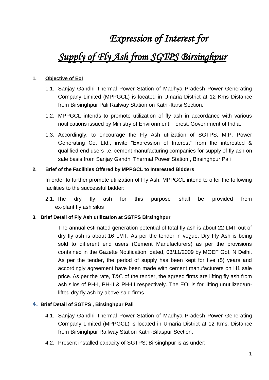# *Expression of Interest for*

# *Supply of Fly Ash from SGTPS Birsinghpur*

# <span id="page-2-0"></span>**1. Objective of EoI**

- 1.1. Sanjay Gandhi Thermal Power Station of Madhya Pradesh Power Generating Company Limited (MPPGCL) is located in Umaria District at 12 Kms Distance from Birsinghpur Pali Railway Station on Katni-Itarsi Section.
- 1.2. MPPGCL intends to promote utilization of fly ash in accordance with various notifications issued by Ministry of Environment, Forest, Government of India.
- 1.3. Accordingly, to encourage the Fly Ash utilization of SGTPS, M.P. Power Generating Co. Ltd., invite "Expression of Interest" from the interested & qualified end users i.e. cement manufacturing companies for supply of fly ash on sale basis from Sanjay Gandhi Thermal Power Station , Birsinghpur Pali

#### <span id="page-2-1"></span>**2. Brief of the Facilities Offered by MPPGCL to Interested Bidders**

In order to further promote utilization of Fly Ash, MPPGCL intend to offer the following facilities to the successful bidder:

2.1. The dry fly ash for this purpose shall be provided from ex-plant fly ash silos

# <span id="page-2-2"></span>**3. Brief Detail of Fly Ash utilization at SGTPS Birsinghpur**

The annual estimated generation potential of total fly ash is about 22 LMT out of dry fly ash is about 16 LMT. As per the tender in vogue, Dry Fly Ash is being sold to different end users (Cement Manufacturers) as per the provisions contained in the Gazette Notification, dated, 03/11/2009 by MOEF GoI, N Delhi. As per the tender, the period of supply has been kept for five (5) years and accordingly agreement have been made with cement manufacturers on H1 sale price. As per the rate, T&C of the tender, the agreed firms are lifting fly ash from ash silos of PH-I, PH-II & PH-III respectively. The EOI is for lifting unutilized/unlifted dry fly ash by above said firms.

# <span id="page-2-3"></span>**4. Brief Detail of SGTPS , Birsinghpur Pali**

- 4.1. Sanjay Gandhi Thermal Power Station of Madhya Pradesh Power Generating Company Limited (MPPGCL) is located in Umaria District at 12 Kms. Distance from Birsinghpur Railway Station Katni-Bilaspur Section.
- 4.2. Present installed capacity of SGTPS; Birsinghpur is as under: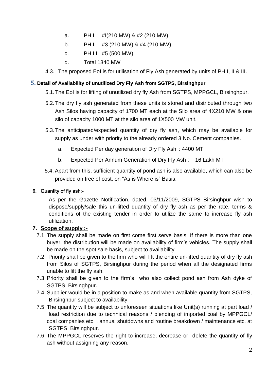- a. PH I : #I(210 MW) & #2 (210 MW)
- b. PH II :  $\#3$  (210 MW) &  $\#4$  (210 MW)
- c. PH III: #5 (500 MW)
- d. Total 1340 MW
- 4.3. The proposed EoI is for utilisation of Fly Ash generated by units of PH I, II & III.

#### <span id="page-3-0"></span>**5. Detail of Availability of unutilized Dry Fly Ash from SGTPS, Birsinghpur**

- 5.1.The EoI is for lifting of unutilized dry fly Ash from SGTPS, MPPGCL, Birsinghpur.
- 5.2.The dry fly ash generated from these units is stored and distributed through two Ash Silos having capacity of 1700 MT each at the Silo area of 4X210 MW & one silo of capacity 1000 MT at the silo area of 1X500 MW unit.
- 5.3.The anticipated/expected quantity of dry fly ash, which may be available for supply as under with priority to the already ordered 3 No. Cement companies.
	- a. Expected Per day generation of Dry Fly Ash : 4400 MT
	- b. Expected Per Annum Generation of Dry Fly Ash : 16 Lakh MT
- 5.4. Apart from this, sufficient quantity of pond ash is also available, which can also be provided on free of cost, on "As is Where is" Basis.

# 6. Quantity of fly ash:-

As per the Gazette Notification, dated, 03/11/2009, SGTPS Birsinghpur wish to dispose/supply/sale this un-lifted quantity of dry fly ash as per the rate, terms & conditions of the existing tender in order to utilize the same to increase fly ash utilization.

# **7. Scope of supply :-**

- 7.1 The supply shall be made on first come first serve basis. If there is more than one buyer, the distribution will be made on availability of firm's vehicles. The supply shall be made on the spot sale basis, subject to availability
- 7.2 Priority shall be given to the firm who will lift the entire un-lifted quantity of dry fly ash from Silos of SGTPS, Birsinghpur during the period when all the designated firms unable to lift the fly ash.
- 7.3 Priority shall be given to the firm's who also collect pond ash from Ash dyke of SGTPS, Birsinghpur.
- 7.4 Supplier would be in a position to make as and when available quantity from SGTPS, Birsinghpur subject to availability.
- 7.5 The quantity will be subject to unforeseen situations like Unit(s) running at part load / load restriction due to technical reasons / blending of imported coal by MPPGCL/ coal companies etc. , annual shutdowns and routine breakdown / maintenance etc. at SGTPS, Birsinghpur.
- 7.6 The MPPGCL reserves the right to increase, decrease or delete the quantity of fly ash without assigning any reason.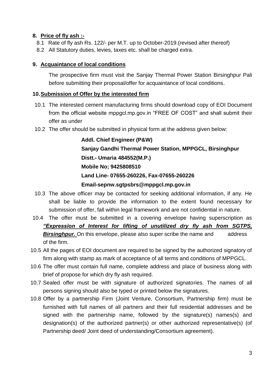#### **8. Price of fly ash :-**

- 8.1 Rate of fly ash Rs. 122/- per M.T. up to October-2019.(revised after thereof)
- 8.2 All Statutory duties, levies, taxes etc. shall be charged extra.

#### <span id="page-4-0"></span>**9. Acquaintance of local conditions**

The prospective firm must visit the Sanjay Thermal Power Station Birsinghpur Pali before submitting their proposal/offer for acquaintance of local conditions.

#### <span id="page-4-1"></span>**10.Submission of Offer by the interested firm**

- 10.1 The interested cement manufacturing firms should download copy of EOI Document from the official website mppgcl.mp.gov.in "FREE OF COST" and shall submit their offer as under
- 10.2 The offer should be submitted in physical form at the address given below:

**Addl. Chief Engineer (P&W) Sanjay Gandhi Thermal Power Station, MPPGCL, Birsinghpur Distt.- Umaria 484552(M.P.) Mobile No; 9425808510 Land Line- 07655-260226, Fax-07655-260226 Email-sepnw.sgtpsbrs@mppgcl.mp.gov.in**

- 10.3 The above officer may be contacted for seeking additional information, if any. He shall be liable to provide the information to the extent found necessary for submission of offer, fall within legal framework and are not confidential in nature.
- 10.4 The offer must be submitted in a covering envelope having superscription as *"Expression of Interest for lifting of unutilized dry fly ash from SGTPS,*  **Birsinghpur.** On this envelope, please also super scribe the name and address of the firm.
- 10.5 All the pages of EOI document are required to be signed by the authorized signatory of firm along with stamp as mark of acceptance of all terms and conditions of MPPGCL.
- 10.6 The offer must contain full name, complete address and place of business along with brief of propose for which dry fly ash required.
- 10.7 Sealed offer must be with signature of authorized signatories. The names of all persons signing should also be typed or printed below the signatures.
- 10.8 Offer by a partnership Firm (Joint Venture, Consortium, Partnership firm) must be furnished with full names of all partners and their full residential addresses and be signed with the partnership name, followed by the signature(s) names(s) and designation(s) of the authorized partner(s) or other authorized representative(s) (of Partnership deed/ Joint deed of understanding/Consortium agreement).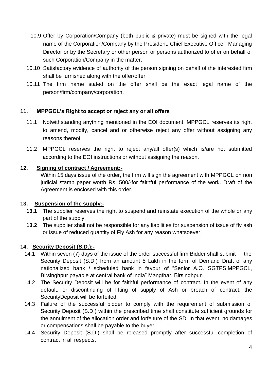- 10.9 Offer by Corporation/Company (both public & private) must be signed with the legal name of the Corporation/Company by the President, Chief Executive Officer, Managing Director or by the Secretary or other person or persons authorized to offer on behalf of such Corporation/Company in the matter.
- 10.10 Satisfactory evidence of authority of the person signing on behalf of the interested firm shall be furnished along with the offer/offer.
- 10.11 The firm name stated on the offer shall be the exact legal name of the person/firm/company/corporation.

#### <span id="page-5-0"></span>**11. MPPGCL's Right to accept or reject any or all offers**

- 11.1 Notwithstanding anything mentioned in the EOI document, MPPGCL reserves its right to amend, modify, cancel and or otherwise reject any offer without assigning any reasons thereof.
- 11.2 MPPGCL reserves the right to reject any/all offer(s) which is/are not submitted according to the EOI instructions or without assigning the reason.

#### **12. Signing of contract / Agreement:-**

Within 15 days issue of the order, the firm will sign the agreement with MPPGCL on non judicial stamp paper worth Rs. 500/-for faithful performance of the work. Draft of the Agreement is enclosed with this order.

#### **13. Suspension of the supply:-**

- **13.1** The supplier reserves the right to suspend and reinstate execution of the whole or any part of the supply.
- **13.2** The supplier shall not be responsible for any liabilities for suspension of issue of fly ash or issue of reduced quantity of Fly Ash for any reason whatsoever.

# **14. Security Deposit (S.D.):-**

- 14.1 Within seven (7) days of the issue of the order successful firm Bidder shall submit the Security Deposit (S.D.) from an amount 5 Lakh in the form of Demand Draft of any nationalized bank / scheduled bank in favour of "Senior A.O. SGTPS,MPPGCL, Birsinghpur payable at central bank of India" Mangthar, Birsinghpur.
- 14.2 The Security Deposit will be for faithful performance of contract. In the event of any default, or discontinuing of lifting of supply of Ash or breach of contract, the SecurityDeposit will be forfeited.
- 14.3 Failure of the successful bidder to comply with the requirement of submission of Security Deposit (S.D.) within the prescribed time shall constitute sufficient grounds for the annulment of the allocation order and forfeiture of the SD. In that event, no damages or compensations shall be payable to the buyer.
- 14.4 Security Deposit (S.D.) shall be released promptly after successful completion of contract in all respects.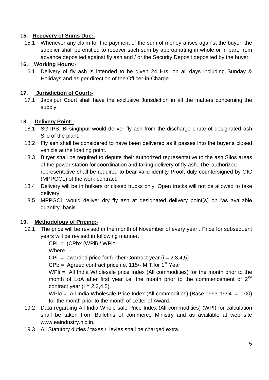# **15. Recovery of Sums Due:-**

15.1 Whenever any claim for the payment of the sum of money arises against the buyer, the supplier shall be entitled to recover such sum by appropriating in whole or in part, from advance deposited against fly ash and / or the Security Deposit deposited by the buyer.

# **16. Working Hours:-**

16.1 Delivery of fly ash is intended to be given 24 Hrs. on all days including Sunday & Holidays and as per direction of the Officer-in-Charge

# **17. Jurisdiction of Court:-**

17.1 Jabalpur Court shall have the exclusive Jurisdiction in all the matters concerning the supply.

# **18. Delivery Point:-**

- 18.1 SGTPS, Birsinghpur would deliver fly ash from the discharge chute of designated ash Silo of the plant.
- 18.2 Fly ash shall be considered to have been delivered as it passes into the buyer's closed vehicle at the loading point.
- 18.3 Buyer shall be required to depute their authorized representative to the ash Silos areas of the power station for coordination and taking delivery of fly ash. The authorized representative shall be required to bear valid identity Proof, duly countersigned by OIC (MPPGCL) of the work contract.
- 18.4 Delivery will be in bulkers or closed trucks only. Open trucks will not be allowed to take delivery
- 18.5 MPPGCL would deliver dry fly ash at designated delivery point(s) on "as available quantity" basis.

# **19. Methodology of Pricing:-**

19.1 The price will be revised in the month of November of every year . Price for subsequent years will be revised in following manner.

CPi = (CPbx (WPli) / WPlo

Where -

 $CPi$  = awarded price for further Contract year ( $i = 2,3,4,5$ )

 $CPb =$  Agreed contract price i.e. 115/- M.T.for 1<sup>st</sup> Year

WPII = All India Wholesale price Index (All commodities) for the month prior to the month of LoA after first year i.e. the month prior to the commencement of  $2<sup>nd</sup>$ contract year  $(I = 2.3.4.5)$ .

WPlo = All India Wholesale Price Index (All commodities) (Base 1993-1994 = 100) for the month prior to the month of Letter of Award.

- 19.2 Data regarding All India Whole sale Price Index (All commodities) (WPI) for calculation shall be taken from Bulletins of commerce Ministry and as available at web site www.eaindustry.nic.in.
- 19.3 All Statutory duties / taxes / levies shall be charged extra.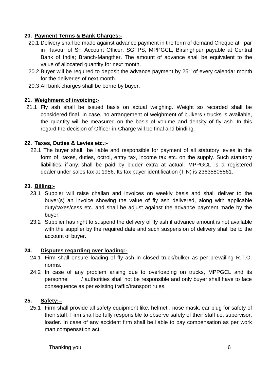#### **20. Payment Terms & Bank Charges:-**

- 20.1 Delivery shall be made against advance payment in the form of demand Cheque at par in favour of Sr. Account Officer, SGTPS, MPPGCL, Birsinghpur payable at Central Bank of India; Branch-Mangther. The amount of advance shall be equivalent to the value of allocated quantity for next month.
- 20.2 Buyer will be required to deposit the advance payment by  $25<sup>th</sup>$  of every calendar month for the deliveries of next month.
- 20.3 All bank charges shall be borne by buyer.

#### **21. Weighment of invoicing:-**

21.1 Fly ash shall be issued basis on actual weighing. Weight so recorded shall be considered final. In case, no arrangement of weighment of bulkers / trucks is available, the quantity will be measured on the basis of volume and density of fly ash. In this regard the decision of Officer-in-Charge will be final and binding.

#### **22. Taxes, Duties & Levies etc.:-**

22.1 The buyer shall be liable and responsible for payment of all statutory levies in the form of taxes, duties, octroi, entry tax, income tax etc. on the supply. Such statutory liabilities, if any, shall be paid by bidder extra at actual. MPPGCL is a registered dealer under sales tax at 1956. Its tax payer identification (TIN) is 23635805861.

#### **23. Billing:-**

- 23.1 Suppler will raise challan and invoices on weekly basis and shall deliver to the buyer(s) an invoice showing the value of fly ash delivered, along with applicable duty/taxes/cess etc. and shall be adjust against the advance payment made by the buyer.
- 23.2 Supplier has right to suspend the delivery of fly ash if advance amount is not available with the supplier by the required date and such suspension of delivery shall be to the account of buyer.

#### **24. Disputes regarding over loading:-**

- 24.1 Firm shall ensure loading of fly ash in closed truck/bulker as per prevailing R.T.O. norms.
- 24.2 In case of any problem arising due to overloading on trucks, MPPGCL and its personnel / authorities shall not be responsible and only buyer shall have to face consequence as per existing traffic/transport rules.

#### **25. Safety:–**

25.1 Firm shall provide all safety equipment like, helmet , nose mask, ear plug for safety of their staff. Firm shall be fully responsible to observe safety of their staff i.e. supervisor, loader. In case of any accident firm shall be liable to pay compensation as per work man compensation act.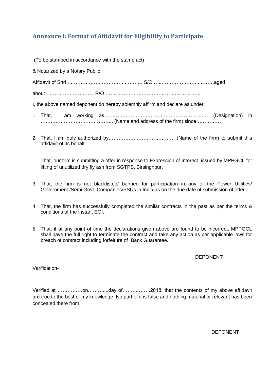# **Annexure I: Format of Affidavit for Eligibility to Participate**

(To be stamped in accordance with the stamp act)

& Notarized by a Notary Public

Affidavit of Shri ……………….……………..………. S/O …..…………………..………aged

about ……………………….. R/O ……………………………………..…………..

I, the above named deponent do hereby solemnly affirm and declare as under:

- 1. That, I am working as…………………………………………………..…. (Designation) in …………………………………….. (Name and address of the firm) since……………
- 2. That, I am duly authorized by…………………………………. (Name of the firm) to submit this affidavit of its behalf.

That, our firm is submitting a offer in response to Expression of Interest issued by MPPGCL for lifting of unutilized dry fly ash from SGTPS, Birsinghpur.

- 3. That, the firm is not blacklisted/ banned for participation in any of the Power Utilities/ Government /Semi Govt. Companies/PSUs in India as on the due date of submission of offer.
- 4. That, the firm has successfully completed the similar contracts in the past as per the terms & conditions of the instant EOI.
- 5. That, if at any point of time the declarations given above are found to be incorrect, MPPGCL shall have the full right to terminate the contract and take any action as per applicable laws for breach of contract including forfeiture of Bank Guarantee.

#### DEPONENT

Verification-

Verified at ……………on………....day of……….…….2018, that the contents of my above affidavit are true to the best of my knowledge. No part of it is false and nothing material or relevant has been concealed there from.

DEPONENT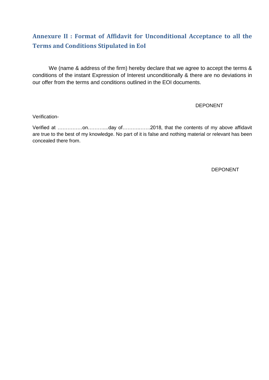# **Annexure II : Format of Affidavit for Unconditional Acceptance to all the Terms and Conditions Stipulated in EoI**

We (name & address of the firm) hereby declare that we agree to accept the terms & conditions of the instant Expression of Interest unconditionally & there are no deviations in our offer from the terms and conditions outlined in the EOI documents.

#### DEPONENT

Verification-

Verified at ……………on………....day of……….…….2018, that the contents of my above affidavit are true to the best of my knowledge. No part of it is false and nothing material or relevant has been concealed there from.

DEPONENT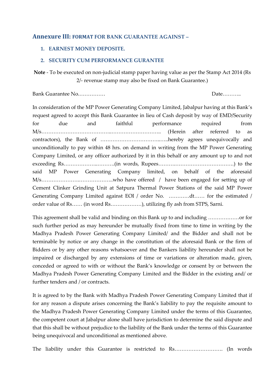#### **Annexure III: FORMAT FOR BANK GUARANTEE AGAINST –**

#### **1. EARNEST MONEY DEPOSITE.**

#### **2. SECURITY CUM PERFORMANCE GURANTEE**

**Note** - To be executed on non-judicial stamp paper having value as per the Stamp Act 2014 (Rs 2/- revenue stamp may also be fixed on Bank Guarantee.)

Bank Guarantee No.…………… Date………..

In consideration of the MP Power Generating Company Limited, Jabalpur having at this Bank's request agreed to accept this Bank Guarantee in lieu of Cash deposit by way of EMD/Security for due and faithful performance required from M/s…………………………………..……………………….. (Herein after referred to as contractors), the Bank of ……………………………..…..hereby agrees unequivocally and unconditionally to pay within 48 hrs. on demand in writing from the MP Power Generating Company Limited, or any officer authorized by it in this behalf or any amount up to and not exceeding Rs………………..……….(in words, Rupees……….…………………………….) to the said MP Power Generating Company limited, on behalf of the aforesaid M/s………………….………………..who have offered / have been engaged for setting up of Cement Clinker Grinding Unit at Satpura Thermal Power Stations of the said MP Power Generating Company Limited against EOI / order No. …………dt…… for the estimated / order value of Rs…… (in word Rs………………), utilizing fly ash from STPS, Sarni.

This agreement shall be valid and binding on this Bank up to and including ………………or for such further period as may hereunder be mutually fixed from time to time in writing by the Madhya Pradesh Power Generating Company Limited/ and the Bidder and shall not be terminable by notice or any change in the constitution of the aforesaid Bank or the firm of Bidders or by any other reasons whatsoever and the Bankers liability hereunder shall not be impaired or discharged by any extensions of time or variations or alteration made, given, conceded or agreed to with or without the Bank's knowledge or consent by or between the Madhya Pradesh Power Generating Company Limited and the Bidder in the existing and/ or further tenders and / or contracts.

It is agreed to by the Bank with Madhya Pradesh Power Generating Company Limited that if for any reason a dispute arises concerning the Bank's liability to pay the requisite amount to the Madhya Pradesh Power Generating Company Limited under the terms of this Guarantee, the competent court at Jabalpur alone shall have jurisdiction to determine the said dispute and that this shall be without prejudice to the liability of the Bank under the terms of this Guarantee being unequivocal and unconditional as mentioned above.

The liability under this Guarantee is restricted to Rs………………………. (In words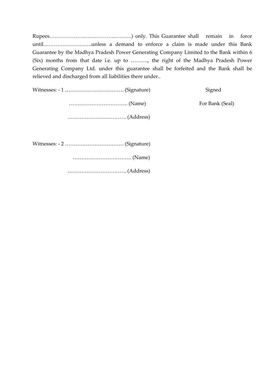Rupees………………………………..……….) only. This Guarantee shall remain in force until……………………….unless a demand to enforce a claim is made under this Bank Guarantee by the Madhya Pradesh Power Generating Company Limited to the Bank within 6 (Six) months from that date i.e. up to ………., the right of the Madhya Pradesh Power Generating Company Ltd. under this guarantee shall be forfeited and the Bank shall be relieved and discharged from all liabilities there under..

Witnesses: - 1 ……………………………. (Signature) Signed

……………………………. (Name) For Bank (Seal)

……………………………. (Address)

Witnesses: - 2 ……………………………. (Signature)

……………………………. (Name)

……………………………. (Address)